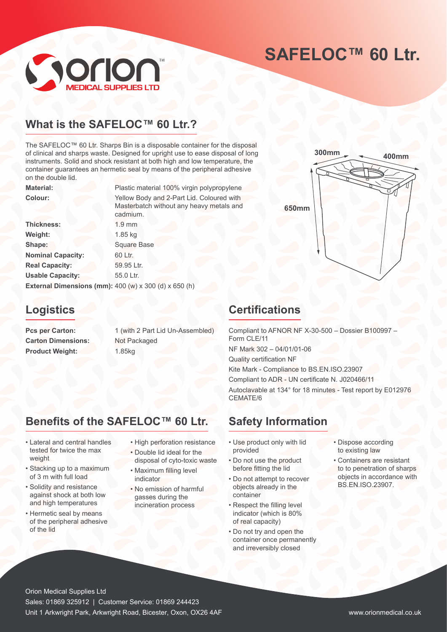# SAFELOC<sup>™</sup> 60 Ltr.

**400mm 300mm**



### **What is the SAFELOC™ 60 Ltr.?**

The SAFELOC™ 60 Ltr. Sharps Bin is a disposable container for the disposal of clinical and sharps waste. Designed for upright use to ease disposal of long instruments. Solid and shock resistant at both high and low temperature, the container guarantees an hermetic seal by means of the peripheral adhesive on the double lid.

**Material:** Plastic material 100% virgin polypropylene **Colour:** Yellow Body and 2-Part Lid. Coloured with Masterbatch without any heavy metals and cadmium.

**650mm**

Thickness: 1.9 mm **Weight:** 1.85 kg **Shape:** Square Base **Nominal Capacity:** 60 Ltr. **Real Capacity:** 59.95 Ltr. Usable Capacity: 55.0 Ltr. **External Dimensions (mm):** 400 (w) x 300 (d) x 650 (h)

### **Logistics**

**Carton Dimensions:** Not Packaged Product Weight: 1.85kg

**Pcs per Carton:** 1 (with 2 Part Lid Un-Assembled)

### **Certifications**

Compliant to AFNOR NF X-30-500 – Dossier B100997 – Form CLE/11 NF Mark 302 – 04/01/01-06 Quality certification NF Kite Mark - Compliance to BS.EN.ISO.23907 Compliant to ADR - UN certificate N. J020466/11 Autoclavable at 134° for 18 minutes - Test report by E012976 CEMATE/6

## **Benefits of the SAFELOC™ 60 Ltr.**

- Lateral and central handles tested for twice the max weight
- Stacking up to a maximum of 3 m with full load
- Solidity and resistance against shock at both low and high temperatures
- Hermetic seal by means of the peripheral adhesive of the lid
- High perforation resistance
- Double lid ideal for the disposal of cyto-toxic waste
- Maximum filling level indicator
- No emission of harmful gasses during the incineration process
- Use product only with lid

**Safety Information**

- provided • Do not use the product before fitting the lid
- Do not attempt to recover objects already in the container
- Respect the filling level indicator (which is 80% of real capacity)
- Do not try and open the container once permanently and irreversibly closed
- Dispose according to existing law
- Containers are resistant to to penetration of sharps objects in accordance with BS.EN.ISO.23907.

Orion Medical Supplies Ltd Sales: 01869 325912 | Customer Service: 01869 244423 Unit 1 Arkwright Park, Arkwright Road, Bicester, Oxon, OX26 4AF www.orionmedical.co.uk